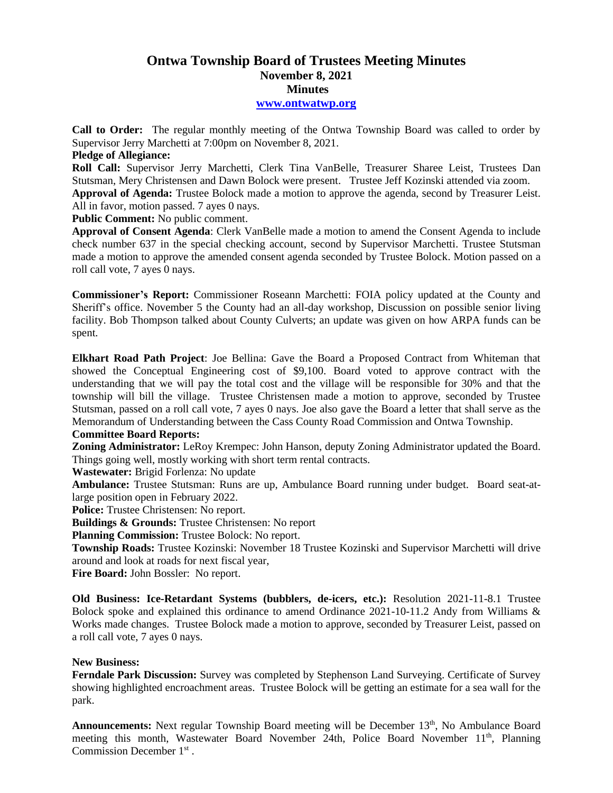## **Ontwa Township Board of Trustees Meeting Minutes November 8, 2021 Minutes**

**[www.ontwatwp.org](http://www.ontwatwp.org/)**

**Call to Order:** The regular monthly meeting of the Ontwa Township Board was called to order by Supervisor Jerry Marchetti at 7:00pm on November 8, 2021.

## **Pledge of Allegiance:**

**Roll Call:** Supervisor Jerry Marchetti, Clerk Tina VanBelle, Treasurer Sharee Leist, Trustees Dan Stutsman, Mery Christensen and Dawn Bolock were present. Trustee Jeff Kozinski attended via zoom. **Approval of Agenda:** Trustee Bolock made a motion to approve the agenda, second by Treasurer Leist. All in favor, motion passed. 7 ayes 0 nays.

**Public Comment:** No public comment.

**Approval of Consent Agenda**: Clerk VanBelle made a motion to amend the Consent Agenda to include check number 637 in the special checking account, second by Supervisor Marchetti. Trustee Stutsman made a motion to approve the amended consent agenda seconded by Trustee Bolock. Motion passed on a roll call vote, 7 ayes 0 nays.

**Commissioner's Report:** Commissioner Roseann Marchetti: FOIA policy updated at the County and Sheriff's office. November 5 the County had an all-day workshop, Discussion on possible senior living facility. Bob Thompson talked about County Culverts; an update was given on how ARPA funds can be spent.

**Elkhart Road Path Project**: Joe Bellina: Gave the Board a Proposed Contract from Whiteman that showed the Conceptual Engineering cost of \$9,100. Board voted to approve contract with the understanding that we will pay the total cost and the village will be responsible for 30% and that the township will bill the village. Trustee Christensen made a motion to approve, seconded by Trustee Stutsman, passed on a roll call vote, 7 ayes 0 nays. Joe also gave the Board a letter that shall serve as the Memorandum of Understanding between the Cass County Road Commission and Ontwa Township.

## **Committee Board Reports:**

**Zoning Administrator:** LeRoy Krempec: John Hanson, deputy Zoning Administrator updated the Board. Things going well, mostly working with short term rental contracts.

**Wastewater:** Brigid Forlenza: No update

**Ambulance:** Trustee Stutsman: Runs are up, Ambulance Board running under budget. Board seat-atlarge position open in February 2022.

**Police:** Trustee Christensen: No report.

**Buildings & Grounds:** Trustee Christensen: No report

**Planning Commission:** Trustee Bolock: No report.

**Township Roads:** Trustee Kozinski: November 18 Trustee Kozinski and Supervisor Marchetti will drive around and look at roads for next fiscal year,

**Fire Board:** John Bossler: No report.

**Old Business: Ice-Retardant Systems (bubblers, de-icers, etc.):** Resolution 2021-11-8.1 Trustee Bolock spoke and explained this ordinance to amend Ordinance 2021-10-11.2 Andy from Williams & Works made changes. Trustee Bolock made a motion to approve, seconded by Treasurer Leist, passed on a roll call vote, 7 ayes 0 nays.

## **New Business:**

**Ferndale Park Discussion:** Survey was completed by Stephenson Land Surveying. Certificate of Survey showing highlighted encroachment areas. Trustee Bolock will be getting an estimate for a sea wall for the park.

Announcements: Next regular Township Board meeting will be December 13<sup>th</sup>, No Ambulance Board meeting this month, Wastewater Board November 24th, Police Board November 11<sup>th</sup>, Planning Commission December 1 st .